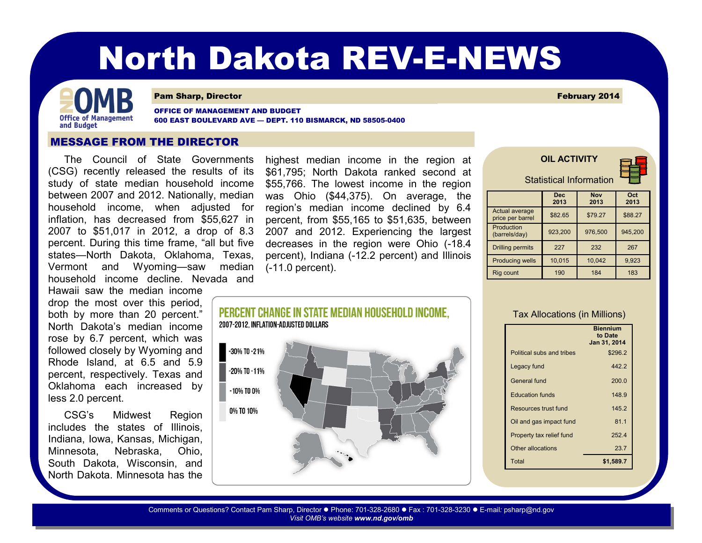# North Dakota REV-E-NEWS



#### **Pam Sharp, Director** February 2014

OFFICE OF MANAGEMENT AND BUDGET 600 EAST BOULEVARD AVE — DEPT. 110 BISMARCK, ND 58505-0400

 $-10\%$  TO  $0\%$ 

0% TO 10%

### MESSAGE FROM THE DIRECTOR

The Council of State Governments highest median income in the region at (CSG) recently released the results of its study of state median household income between 2007 and 2012. Nationally, median inflation, has decreased from \$55,627 in 2007 to \$51,017 in 2012, a drop of 8.3 percent. During this time frame, "all but five states—North Dakota, Oklahoma, Texas, Vermont and Wyoming—saw median (-11.0 percent). household income decline. Nevada and

Hawaii saw the median income drop the most over this period, both by more than 20 percent." North Dakota's median income rose by 6.7 percent, which was followed closely by Wyoming and Rhode Island, at 6.5 and 5.9 percent, respectively. Texas and Oklahoma each increased by less 2.0 percent.

CSG's Midwest Region includes the states of Illinois, Indiana, Iowa, Kansas, Michigan, Minnesota, Nebraska, Ohio, South Dakota, Wisconsin, and North Dakota. Minnesota has the

household income, when adjusted for region's median income declined by 6.4 \$61,795; North Dakota ranked second at \$55,766. The lowest income in the region was Ohio (\$44,375). On average, the percent, from \$55,165 to \$51,635, between 2007 and 2012. Experiencing the largest decreases in the region were Ohio (-18.4 percent), Indiana (-12.2 percent) and Illinois

| <b>Statistical Information</b>     |                    |                    |             |
|------------------------------------|--------------------|--------------------|-------------|
|                                    | <b>Dec</b><br>2013 | <b>Nov</b><br>2013 | Oct<br>2013 |
| Actual average<br>price per barrel | \$82.65            | \$79.27            | \$88.27     |
| Production<br>(barrels/day)        | 923,200            | 976.500            | 945.200     |
| <b>Drilling permits</b>            | 227                | 232                | 267         |
| <b>Producing wells</b>             | 10.015             | 10.042             | 9,923       |
| Rig count                          | 190                | 184                | 183         |

**OIL ACTIVITY**



#### Tax Allocations (in Millions)

|                           | <b>Biennium</b><br>to Date<br>Jan 31, 2014 |
|---------------------------|--------------------------------------------|
| Political subs and tribes | \$296.2                                    |
| Legacy fund               | 442.2                                      |
| General fund              | 200.0                                      |
| <b>Education funds</b>    | 148.9                                      |
| Resources trust fund      | 145.2                                      |
| Oil and gas impact fund   | 81.1                                       |
| Property tax relief fund  | 252.4                                      |
| Other allocations         | 23.7                                       |
| Total                     | \$1.589.7                                  |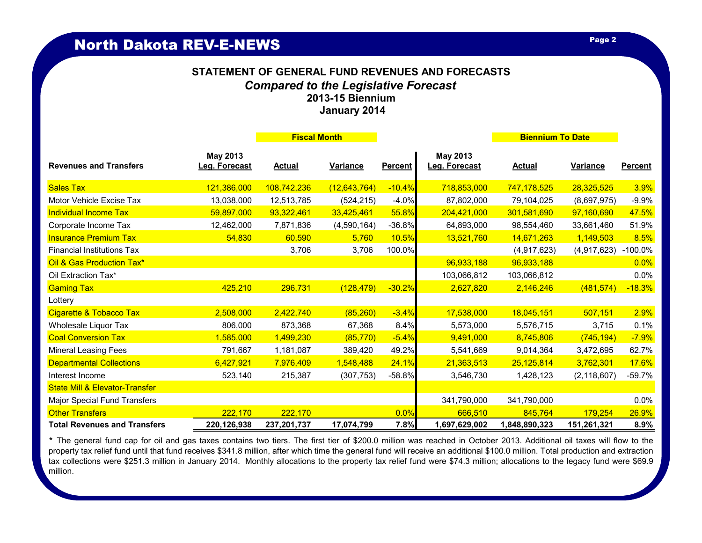## **January 2014 STATEMENT OF GENERAL FUND REVENUES AND FORECASTS** *Compared to the Legislative Forecast* **2013-15 Biennium**

|                                           |                           | <b>Fiscal Month</b> |                |                | <b>Biennium To Date</b>   |               |               |                |
|-------------------------------------------|---------------------------|---------------------|----------------|----------------|---------------------------|---------------|---------------|----------------|
| <b>Revenues and Transfers</b>             | May 2013<br>Leg. Forecast | <b>Actual</b>       | Variance       | <b>Percent</b> | May 2013<br>Leg. Forecast | <b>Actual</b> | Variance      | <b>Percent</b> |
| <b>Sales Tax</b>                          | 121,386,000               | 108,742,236         | (12, 643, 764) | $-10.4%$       | 718,853,000               | 747, 178, 525 | 28,325,525    | 3.9%           |
| Motor Vehicle Excise Tax                  | 13,038,000                | 12,513,785          | (524, 215)     | $-4.0%$        | 87,802,000                | 79,104,025    | (8,697,975)   | $-9.9%$        |
| <b>Individual Income Tax</b>              | 59,897,000                | 93,322,461          | 33,425,461     | 55.8%          | 204,421,000               | 301,581,690   | 97,160,690    | 47.5%          |
| Corporate Income Tax                      | 12,462,000                | 7,871,836           | (4,590,164)    | $-36.8%$       | 64,893,000                | 98,554,460    | 33,661,460    | 51.9%          |
| <b>Insurance Premium Tax</b>              | 54,830                    | 60,590              | 5,760          | 10.5%          | 13,521,760                | 14,671,263    | 1,149,503     | 8.5%           |
| <b>Financial Institutions Tax</b>         |                           | 3,706               | 3,706          | 100.0%         |                           | (4,917,623)   | (4,917,623)   | $-100.0\%$     |
| Oil & Gas Production Tax*                 |                           |                     |                |                | 96,933,188                | 96,933,188    |               | 0.0%           |
| Oil Extraction Tax*                       |                           |                     |                |                | 103,066,812               | 103,066,812   |               | 0.0%           |
| <b>Gaming Tax</b>                         | 425,210                   | 296,731             | (128, 479)     | $-30.2%$       | 2,627,820                 | 2,146,246     | (481, 574)    | $-18.3%$       |
| Lottery                                   |                           |                     |                |                |                           |               |               |                |
| Cigarette & Tobacco Tax                   | 2,508,000                 | 2,422,740           | (85, 260)      | $-3.4%$        | 17,538,000                | 18,045,151    | 507,151       | 2.9%           |
| <b>Wholesale Liquor Tax</b>               | 806,000                   | 873,368             | 67,368         | 8.4%           | 5,573,000                 | 5,576,715     | 3,715         | 0.1%           |
| <b>Coal Conversion Tax</b>                | 1,585,000                 | 1,499,230           | (85, 770)      | $-5.4%$        | 9,491,000                 | 8,745,806     | (745, 194)    | $-7.9%$        |
| <b>Mineral Leasing Fees</b>               | 791,667                   | 1,181,087           | 389,420        | 49.2%          | 5,541,669                 | 9,014,364     | 3,472,695     | 62.7%          |
| <b>Departmental Collections</b>           | 6,427,921                 | 7,976,409           | 1,548,488      | 24.1%          | 21,363,513                | 25,125,814    | 3,762,301     | <b>17.6%</b>   |
| Interest Income                           | 523,140                   | 215,387             | (307, 753)     | $-58.8%$       | 3,546,730                 | 1,428,123     | (2, 118, 607) | $-59.7%$       |
| <b>State Mill &amp; Elevator-Transfer</b> |                           |                     |                |                |                           |               |               |                |
| Major Special Fund Transfers              |                           |                     |                |                | 341,790,000               | 341,790,000   |               | 0.0%           |
| <b>Other Transfers</b>                    | 222,170                   | 222,170             |                | 0.0%           | 666,510                   | 845,764       | 179.254       | 26.9%          |
| <b>Total Revenues and Transfers</b>       | 220,126,938               | 237,201,737         | 17,074,799     | 7.8%           | 1,697,629,002             | 1,848,890,323 | 151,261,321   | 8.9%           |

*\** The general fund cap for oil and gas taxes contains two tiers. The first tier of \$200.0 million was reached in October 2013. Additional oil taxes will flow to the property tax relief fund until that fund receives \$341.8 million, after which time the general fund will receive an additional \$100.0 million. Total production and extraction tax collections were \$251.3 million in January 2014. Monthly allocations to the property tax relief fund were \$74.3 million; allocations to the legacy fund were \$69.9 million.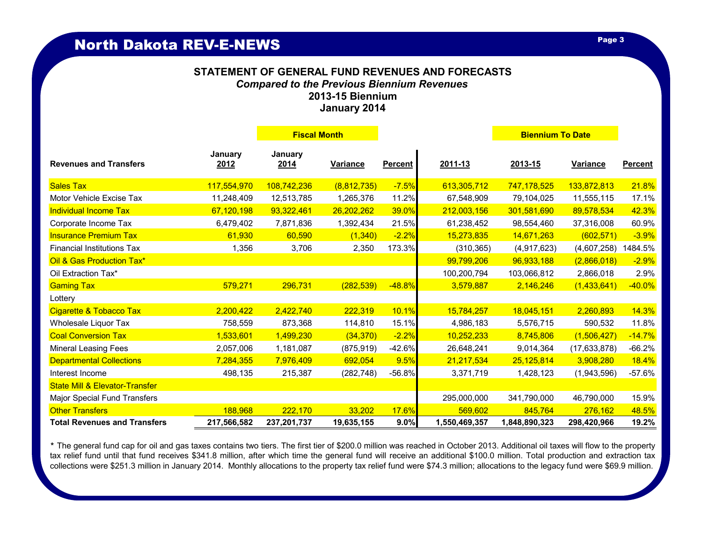### **STATEMENT OF GENERAL FUND REVENUES AND FORECASTS** *Compared to the Previous Biennium Revenues* **2013-15 Biennium January 2014**

|                                           |                 | <b>Fiscal Month</b>      |                 |                |               | <b>Biennium To Date</b> |                 |                |
|-------------------------------------------|-----------------|--------------------------|-----------------|----------------|---------------|-------------------------|-----------------|----------------|
| <b>Revenues and Transfers</b>             | January<br>2012 | January<br><u> 2014 </u> | <b>Variance</b> | <b>Percent</b> | 2011-13       | 2013-15                 | <b>Variance</b> | <b>Percent</b> |
| <b>Sales Tax</b>                          | 117,554,970     | 108,742,236              | (8,812,735)     | $-7.5%$        | 613,305,712   | 747, 178, 525           | 133,872,813     | 21.8%          |
| Motor Vehicle Excise Tax                  | 11,248,409      | 12,513,785               | 1,265,376       | 11.2%          | 67,548,909    | 79,104,025              | 11,555,115      | 17.1%          |
| <b>Individual Income Tax</b>              | 67,120,198      | 93,322,461               | 26,202,262      | 39.0%          | 212,003,156   | 301,581,690             | 89,578,534      | 42.3%          |
| Corporate Income Tax                      | 6,479,402       | 7,871,836                | 1,392,434       | 21.5%          | 61,238,452    | 98,554,460              | 37,316,008      | 60.9%          |
| <b>Insurance Premium Tax</b>              | 61,930          | 60,590                   | (1, 340)        | $-2.2%$        | 15,273,835    | 14,671,263              | (602, 571)      | $-3.9%$        |
| <b>Financial Institutions Tax</b>         | 1,356           | 3,706                    | 2,350           | 173.3%         | (310, 365)    | (4,917,623)             | (4,607,258)     | 1484.5%        |
| Oil & Gas Production Tax*                 |                 |                          |                 |                | 99,799,206    | 96,933,188              | (2,866,018)     | $-2.9%$        |
| Oil Extraction Tax*                       |                 |                          |                 |                | 100,200,794   | 103,066,812             | 2,866,018       | 2.9%           |
| <b>Gaming Tax</b>                         | 579,271         | 296,731                  | (282, 539)      | $-48.8%$       | 3,579,887     | 2,146,246               | (1,433,641)     | $-40.0\%$      |
| Lottery                                   |                 |                          |                 |                |               |                         |                 |                |
| Cigarette & Tobacco Tax                   | 2,200,422       | 2,422,740                | 222,319         | 10.1%          | 15,784,257    | 18,045,151              | 2,260,893       | <b>14.3%</b>   |
| Wholesale Liquor Tax                      | 758,559         | 873,368                  | 114,810         | 15.1%          | 4,986,183     | 5,576,715               | 590,532         | 11.8%          |
| <b>Coal Conversion Tax</b>                | 1,533,601       | 1,499,230                | (34, 370)       | $-2.2%$        | 10,252,233    | 8,745,806               | (1,506,427)     | $-14.7%$       |
| <b>Mineral Leasing Fees</b>               | 2,057,006       | 1,181,087                | (875, 919)      | $-42.6%$       | 26,648,241    | 9,014,364               | (17, 633, 878)  | $-66.2%$       |
| <b>Departmental Collections</b>           | 7,284,355       | 7,976,409                | 692,054         | 9.5%           | 21,217,534    | 25,125,814              | 3,908,280       | <b>18.4%</b>   |
| Interest Income                           | 498,135         | 215,387                  | (282, 748)      | $-56.8%$       | 3,371,719     | 1,428,123               | (1,943,596)     | $-57.6%$       |
| <b>State Mill &amp; Elevator-Transfer</b> |                 |                          |                 |                |               |                         |                 |                |
| Major Special Fund Transfers              |                 |                          |                 |                | 295,000,000   | 341,790,000             | 46,790,000      | 15.9%          |
| <b>Other Transfers</b>                    | 188,968         | 222,170                  | 33,202          | 17.6%          | 569,602       | 845,764                 | 276,162         | 48.5%          |
| <b>Total Revenues and Transfers</b>       | 217,566,582     | 237,201,737              | 19,635,155      | 9.0%           | 1,550,469,357 | 1,848,890,323           | 298,420,966     | 19.2%          |

*\** The general fund cap for oil and gas taxes contains two tiers. The first tier of \$200.0 million was reached in October 2013. Additional oil taxes will flow to the property tax relief fund until that fund receives \$341.8 million, after which time the general fund will receive an additional \$100.0 million. Total production and extraction tax collections were \$251.3 million in January 2014. Monthly allocations to the property tax relief fund were \$74.3 million; allocations to the legacy fund were \$69.9 million.